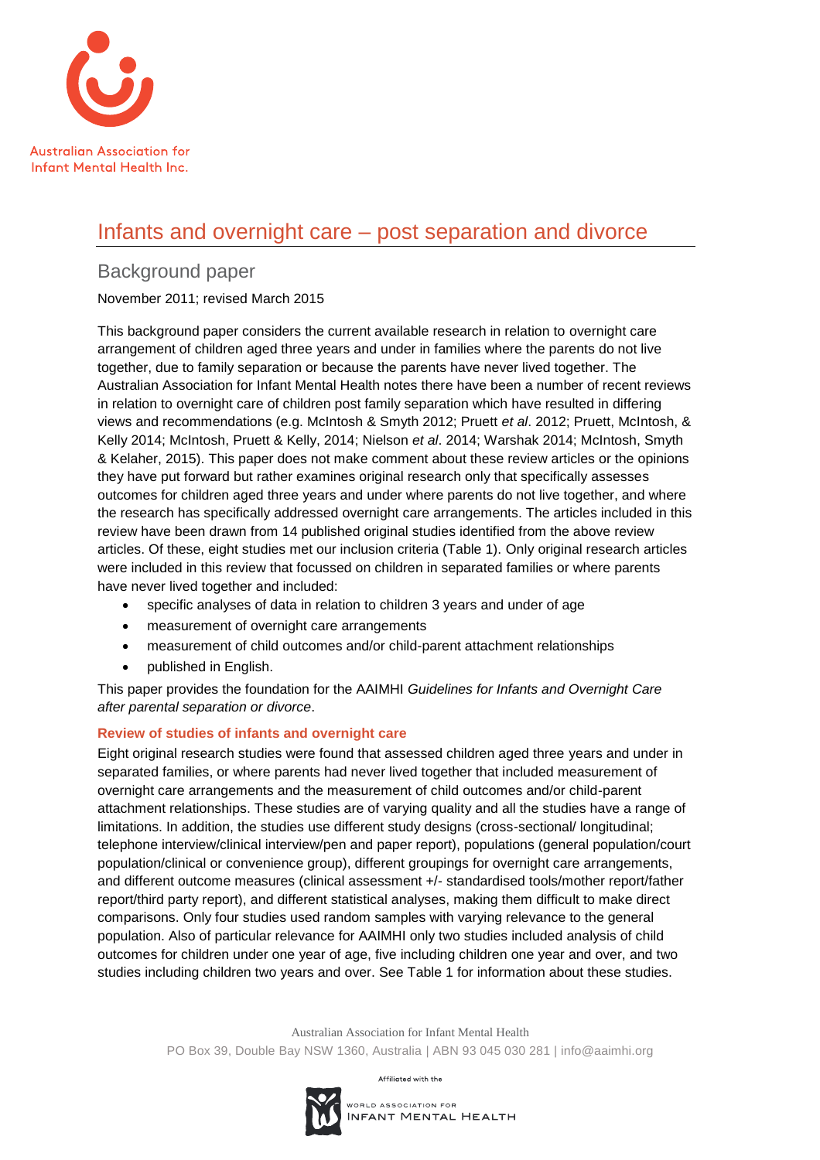

# Infants and overnight care – post separation and divorce

# Background paper

November 2011; revised March 2015

This background paper considers the current available research in relation to overnight care arrangement of children aged three years and under in families where the parents do not live together, due to family separation or because the parents have never lived together. The Australian Association for Infant Mental Health notes there have been a number of recent reviews in relation to overnight care of children post family separation which have resulted in differing views and recommendations (e.g. McIntosh & Smyth 2012; Pruett *et al*. 2012; Pruett, McIntosh, & Kelly 2014; McIntosh, Pruett & Kelly, 2014; Nielson *et al*. 2014; Warshak 2014; McIntosh, Smyth & Kelaher, 2015). This paper does not make comment about these review articles or the opinions they have put forward but rather examines original research only that specifically assesses outcomes for children aged three years and under where parents do not live together, and where the research has specifically addressed overnight care arrangements. The articles included in this review have been drawn from 14 published original studies identified from the above review articles. Of these, eight studies met our inclusion criteria (Table 1). Only original research articles were included in this review that focussed on children in separated families or where parents have never lived together and included:

- specific analyses of data in relation to children 3 years and under of age
- measurement of overnight care arrangements
- measurement of child outcomes and/or child-parent attachment relationships
- published in English.

This paper provides the foundation for the AAIMHI *Guidelines for Infants and Overnight Care after parental separation or divorce*.

### **Review of studies of infants and overnight care**

Eight original research studies were found that assessed children aged three years and under in separated families, or where parents had never lived together that included measurement of overnight care arrangements and the measurement of child outcomes and/or child-parent attachment relationships. These studies are of varying quality and all the studies have a range of limitations. In addition, the studies use different study designs (cross-sectional/ longitudinal; telephone interview/clinical interview/pen and paper report), populations (general population/court population/clinical or convenience group), different groupings for overnight care arrangements, and different outcome measures (clinical assessment +/- standardised tools/mother report/father report/third party report), and different statistical analyses, making them difficult to make direct comparisons. Only four studies used random samples with varying relevance to the general population. Also of particular relevance for AAIMHI only two studies included analysis of child outcomes for children under one year of age, five including children one year and over, and two studies including children two years and over. See Table 1 for information about these studies.

> Australian Association for Infant Mental Health PO Box 39, Double Bay NSW 1360, Australia | ABN 93 045 030 281 | info@aaimhi.org

> > Affiliated with the

WORLD ASSOCIATION FOR INFANT MENTAL HEALTH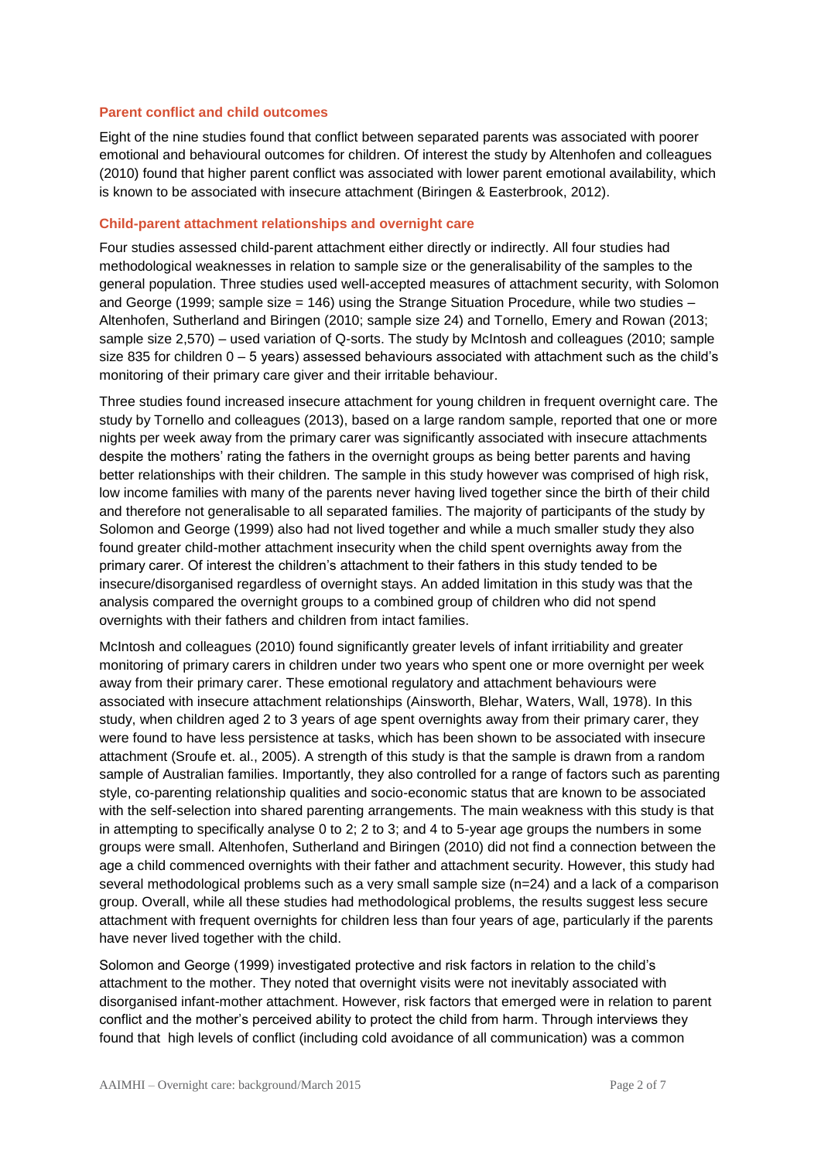#### **Parent conflict and child outcomes**

Eight of the nine studies found that conflict between separated parents was associated with poorer emotional and behavioural outcomes for children. Of interest the study by Altenhofen and colleagues (2010) found that higher parent conflict was associated with lower parent emotional availability, which is known to be associated with insecure attachment (Biringen & Easterbrook, 2012).

#### **Child-parent attachment relationships and overnight care**

Four studies assessed child-parent attachment either directly or indirectly. All four studies had methodological weaknesses in relation to sample size or the generalisability of the samples to the general population. Three studies used well-accepted measures of attachment security, with Solomon and George (1999; sample size = 146) using the Strange Situation Procedure, while two studies – Altenhofen, Sutherland and Biringen (2010; sample size 24) and Tornello, Emery and Rowan (2013; sample size 2,570) – used variation of Q-sorts. The study by McIntosh and colleagues (2010; sample size 835 for children 0 – 5 years) assessed behaviours associated with attachment such as the child's monitoring of their primary care giver and their irritable behaviour.

Three studies found increased insecure attachment for young children in frequent overnight care. The study by Tornello and colleagues (2013), based on a large random sample, reported that one or more nights per week away from the primary carer was significantly associated with insecure attachments despite the mothers' rating the fathers in the overnight groups as being better parents and having better relationships with their children. The sample in this study however was comprised of high risk, low income families with many of the parents never having lived together since the birth of their child and therefore not generalisable to all separated families. The majority of participants of the study by Solomon and George (1999) also had not lived together and while a much smaller study they also found greater child-mother attachment insecurity when the child spent overnights away from the primary carer. Of interest the children's attachment to their fathers in this study tended to be insecure/disorganised regardless of overnight stays. An added limitation in this study was that the analysis compared the overnight groups to a combined group of children who did not spend overnights with their fathers and children from intact families.

McIntosh and colleagues (2010) found significantly greater levels of infant irritiability and greater monitoring of primary carers in children under two years who spent one or more overnight per week away from their primary carer. These emotional regulatory and attachment behaviours were associated with insecure attachment relationships (Ainsworth, Blehar, Waters, Wall, 1978). In this study, when children aged 2 to 3 years of age spent overnights away from their primary carer, they were found to have less persistence at tasks, which has been shown to be associated with insecure attachment (Sroufe et. al., 2005). A strength of this study is that the sample is drawn from a random sample of Australian families. Importantly, they also controlled for a range of factors such as parenting style, co-parenting relationship qualities and socio-economic status that are known to be associated with the self-selection into shared parenting arrangements. The main weakness with this study is that in attempting to specifically analyse 0 to 2; 2 to 3; and 4 to 5-year age groups the numbers in some groups were small. Altenhofen, Sutherland and Biringen (2010) did not find a connection between the age a child commenced overnights with their father and attachment security. However, this study had several methodological problems such as a very small sample size (n=24) and a lack of a comparison group. Overall, while all these studies had methodological problems, the results suggest less secure attachment with frequent overnights for children less than four years of age, particularly if the parents have never lived together with the child.

Solomon and George (1999) investigated protective and risk factors in relation to the child's attachment to the mother. They noted that overnight visits were not inevitably associated with disorganised infant-mother attachment. However, risk factors that emerged were in relation to parent conflict and the mother's perceived ability to protect the child from harm. Through interviews they found that high levels of conflict (including cold avoidance of all communication) was a common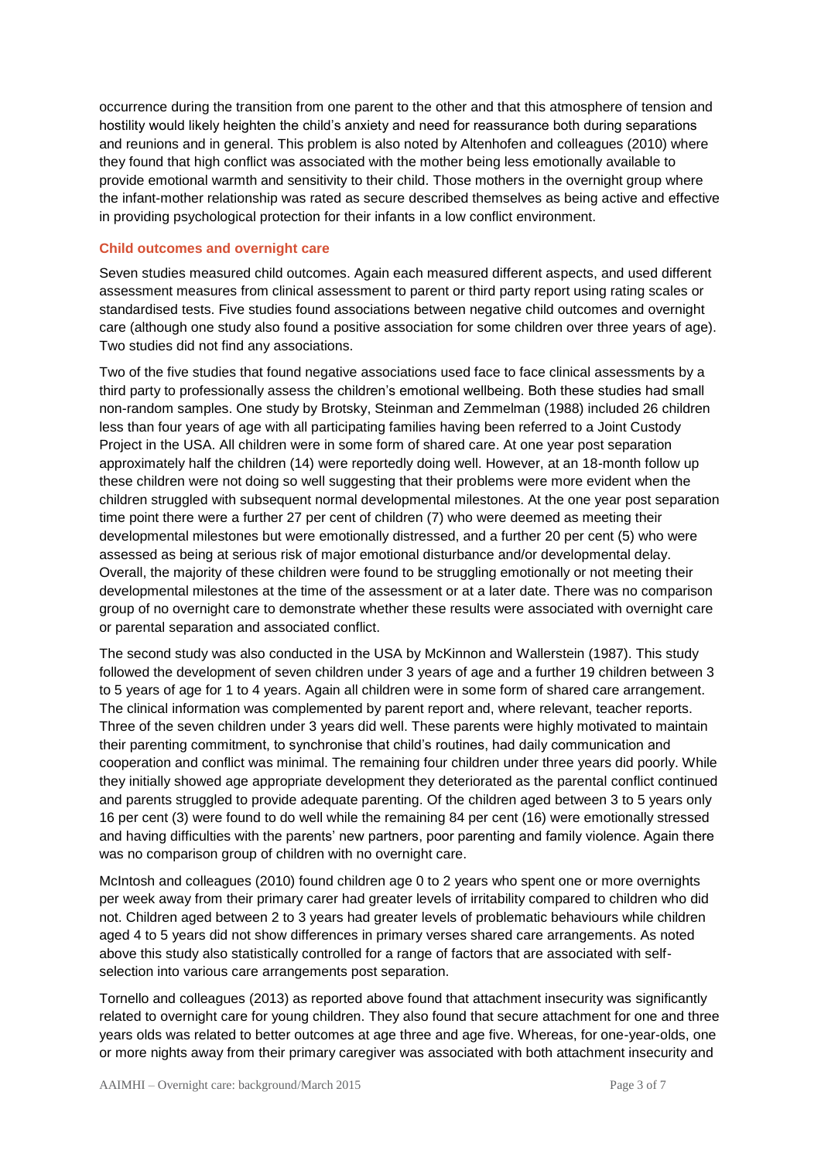occurrence during the transition from one parent to the other and that this atmosphere of tension and hostility would likely heighten the child's anxiety and need for reassurance both during separations and reunions and in general. This problem is also noted by Altenhofen and colleagues (2010) where they found that high conflict was associated with the mother being less emotionally available to provide emotional warmth and sensitivity to their child. Those mothers in the overnight group where the infant-mother relationship was rated as secure described themselves as being active and effective in providing psychological protection for their infants in a low conflict environment.

#### **Child outcomes and overnight care**

Seven studies measured child outcomes. Again each measured different aspects, and used different assessment measures from clinical assessment to parent or third party report using rating scales or standardised tests. Five studies found associations between negative child outcomes and overnight care (although one study also found a positive association for some children over three years of age). Two studies did not find any associations.

Two of the five studies that found negative associations used face to face clinical assessments by a third party to professionally assess the children's emotional wellbeing. Both these studies had small non-random samples. One study by Brotsky, Steinman and Zemmelman (1988) included 26 children less than four years of age with all participating families having been referred to a Joint Custody Project in the USA. All children were in some form of shared care. At one year post separation approximately half the children (14) were reportedly doing well. However, at an 18-month follow up these children were not doing so well suggesting that their problems were more evident when the children struggled with subsequent normal developmental milestones. At the one year post separation time point there were a further 27 per cent of children (7) who were deemed as meeting their developmental milestones but were emotionally distressed, and a further 20 per cent (5) who were assessed as being at serious risk of major emotional disturbance and/or developmental delay. Overall, the majority of these children were found to be struggling emotionally or not meeting their developmental milestones at the time of the assessment or at a later date. There was no comparison group of no overnight care to demonstrate whether these results were associated with overnight care or parental separation and associated conflict.

The second study was also conducted in the USA by McKinnon and Wallerstein (1987). This study followed the development of seven children under 3 years of age and a further 19 children between 3 to 5 years of age for 1 to 4 years. Again all children were in some form of shared care arrangement. The clinical information was complemented by parent report and, where relevant, teacher reports. Three of the seven children under 3 years did well. These parents were highly motivated to maintain their parenting commitment, to synchronise that child's routines, had daily communication and cooperation and conflict was minimal. The remaining four children under three years did poorly. While they initially showed age appropriate development they deteriorated as the parental conflict continued and parents struggled to provide adequate parenting. Of the children aged between 3 to 5 years only 16 per cent (3) were found to do well while the remaining 84 per cent (16) were emotionally stressed and having difficulties with the parents' new partners, poor parenting and family violence. Again there was no comparison group of children with no overnight care.

McIntosh and colleagues (2010) found children age 0 to 2 years who spent one or more overnights per week away from their primary carer had greater levels of irritability compared to children who did not. Children aged between 2 to 3 years had greater levels of problematic behaviours while children aged 4 to 5 years did not show differences in primary verses shared care arrangements. As noted above this study also statistically controlled for a range of factors that are associated with selfselection into various care arrangements post separation.

Tornello and colleagues (2013) as reported above found that attachment insecurity was significantly related to overnight care for young children. They also found that secure attachment for one and three years olds was related to better outcomes at age three and age five. Whereas, for one-year-olds, one or more nights away from their primary caregiver was associated with both attachment insecurity and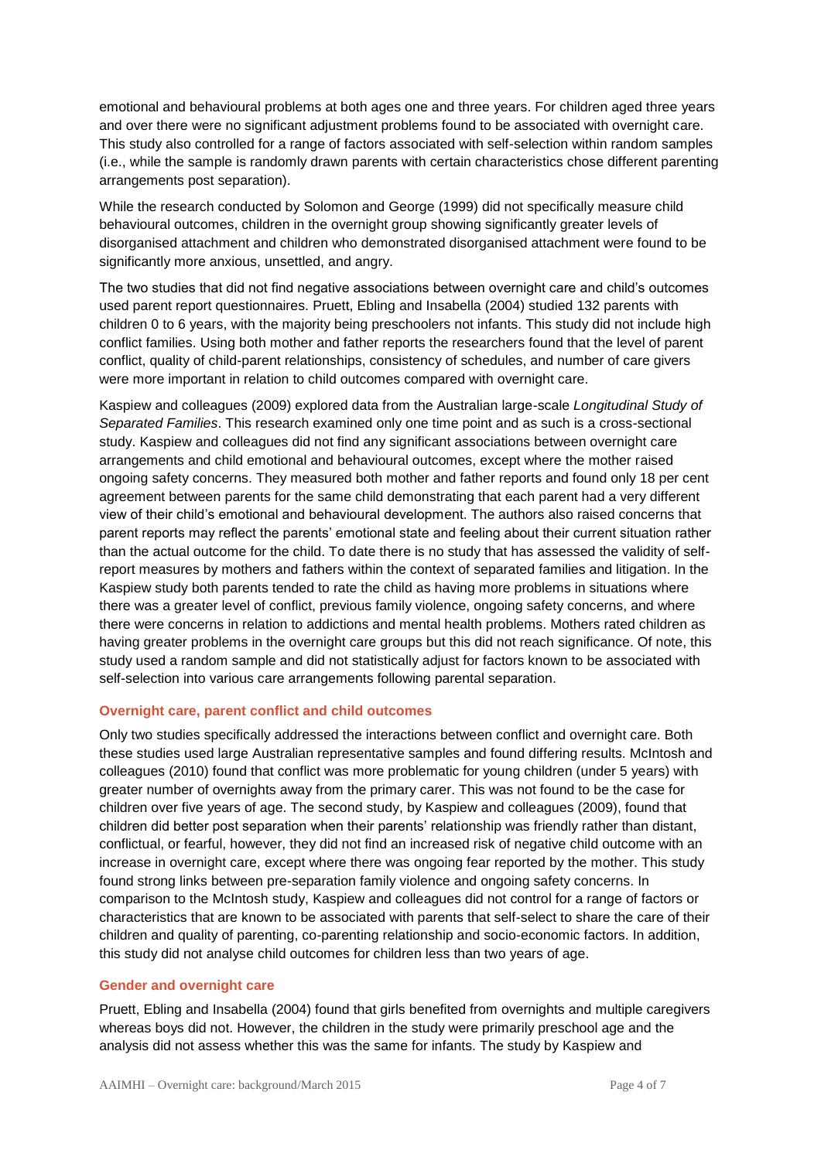emotional and behavioural problems at both ages one and three years. For children aged three years and over there were no significant adjustment problems found to be associated with overnight care. This study also controlled for a range of factors associated with self-selection within random samples (i.e., while the sample is randomly drawn parents with certain characteristics chose different parenting arrangements post separation).

While the research conducted by Solomon and George (1999) did not specifically measure child behavioural outcomes, children in the overnight group showing significantly greater levels of disorganised attachment and children who demonstrated disorganised attachment were found to be significantly more anxious, unsettled, and angry.

The two studies that did not find negative associations between overnight care and child's outcomes used parent report questionnaires. Pruett, Ebling and Insabella (2004) studied 132 parents with children 0 to 6 years, with the majority being preschoolers not infants. This study did not include high conflict families. Using both mother and father reports the researchers found that the level of parent conflict, quality of child-parent relationships, consistency of schedules, and number of care givers were more important in relation to child outcomes compared with overnight care.

Kaspiew and colleagues (2009) explored data from the Australian large-scale *Longitudinal Study of Separated Families*. This research examined only one time point and as such is a cross-sectional study. Kaspiew and colleagues did not find any significant associations between overnight care arrangements and child emotional and behavioural outcomes, except where the mother raised ongoing safety concerns. They measured both mother and father reports and found only 18 per cent agreement between parents for the same child demonstrating that each parent had a very different view of their child's emotional and behavioural development. The authors also raised concerns that parent reports may reflect the parents' emotional state and feeling about their current situation rather than the actual outcome for the child. To date there is no study that has assessed the validity of selfreport measures by mothers and fathers within the context of separated families and litigation. In the Kaspiew study both parents tended to rate the child as having more problems in situations where there was a greater level of conflict, previous family violence, ongoing safety concerns, and where there were concerns in relation to addictions and mental health problems. Mothers rated children as having greater problems in the overnight care groups but this did not reach significance. Of note, this study used a random sample and did not statistically adjust for factors known to be associated with self-selection into various care arrangements following parental separation.

#### **Overnight care, parent conflict and child outcomes**

Only two studies specifically addressed the interactions between conflict and overnight care. Both these studies used large Australian representative samples and found differing results. McIntosh and colleagues (2010) found that conflict was more problematic for young children (under 5 years) with greater number of overnights away from the primary carer. This was not found to be the case for children over five years of age. The second study, by Kaspiew and colleagues (2009), found that children did better post separation when their parents' relationship was friendly rather than distant, conflictual, or fearful, however, they did not find an increased risk of negative child outcome with an increase in overnight care, except where there was ongoing fear reported by the mother. This study found strong links between pre-separation family violence and ongoing safety concerns. In comparison to the McIntosh study, Kaspiew and colleagues did not control for a range of factors or characteristics that are known to be associated with parents that self-select to share the care of their children and quality of parenting, co-parenting relationship and socio-economic factors. In addition, this study did not analyse child outcomes for children less than two years of age.

#### **Gender and overnight care**

Pruett, Ebling and Insabella (2004) found that girls benefited from overnights and multiple caregivers whereas boys did not. However, the children in the study were primarily preschool age and the analysis did not assess whether this was the same for infants. The study by Kaspiew and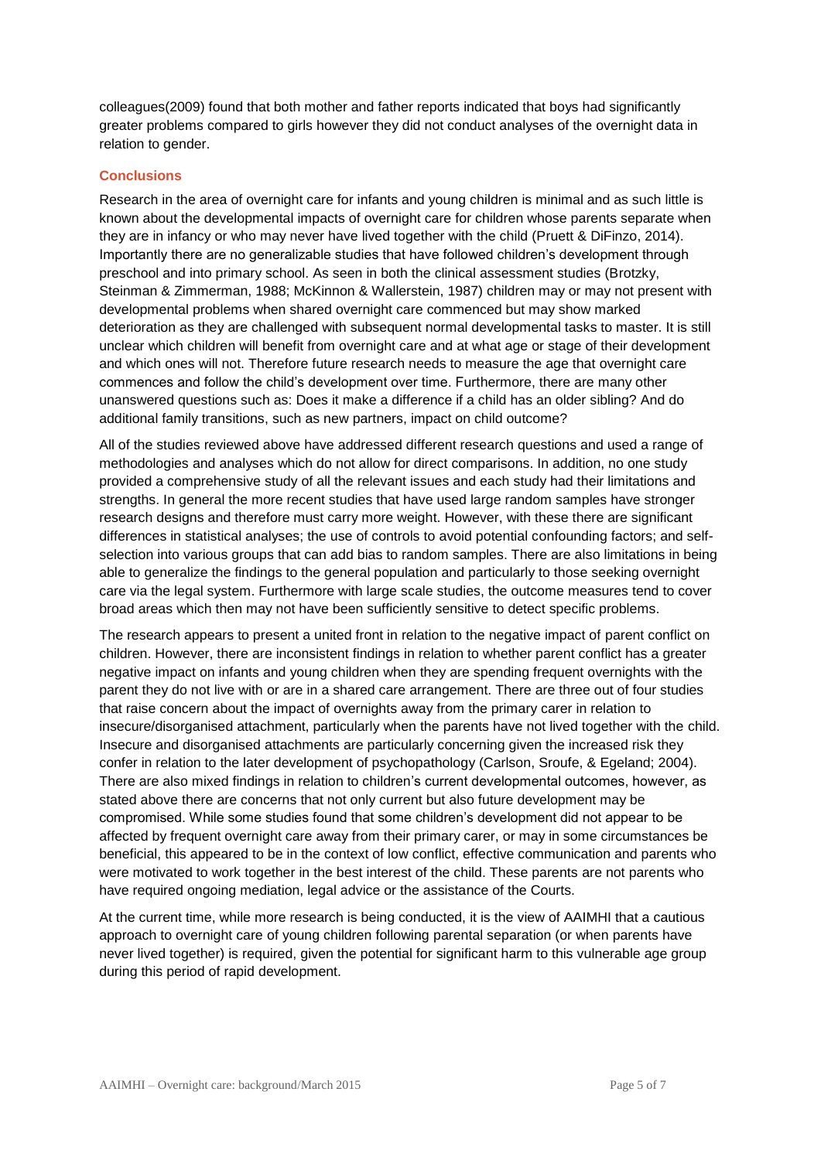colleagues(2009) found that both mother and father reports indicated that boys had significantly greater problems compared to girls however they did not conduct analyses of the overnight data in relation to gender.

#### **Conclusions**

Research in the area of overnight care for infants and young children is minimal and as such little is known about the developmental impacts of overnight care for children whose parents separate when they are in infancy or who may never have lived together with the child (Pruett & DiFinzo, 2014). Importantly there are no generalizable studies that have followed children's development through preschool and into primary school. As seen in both the clinical assessment studies (Brotzky, Steinman & Zimmerman, 1988; McKinnon & Wallerstein, 1987) children may or may not present with developmental problems when shared overnight care commenced but may show marked deterioration as they are challenged with subsequent normal developmental tasks to master. It is still unclear which children will benefit from overnight care and at what age or stage of their development and which ones will not. Therefore future research needs to measure the age that overnight care commences and follow the child's development over time. Furthermore, there are many other unanswered questions such as: Does it make a difference if a child has an older sibling? And do additional family transitions, such as new partners, impact on child outcome?

All of the studies reviewed above have addressed different research questions and used a range of methodologies and analyses which do not allow for direct comparisons. In addition, no one study provided a comprehensive study of all the relevant issues and each study had their limitations and strengths. In general the more recent studies that have used large random samples have stronger research designs and therefore must carry more weight. However, with these there are significant differences in statistical analyses; the use of controls to avoid potential confounding factors; and selfselection into various groups that can add bias to random samples. There are also limitations in being able to generalize the findings to the general population and particularly to those seeking overnight care via the legal system. Furthermore with large scale studies, the outcome measures tend to cover broad areas which then may not have been sufficiently sensitive to detect specific problems.

The research appears to present a united front in relation to the negative impact of parent conflict on children. However, there are inconsistent findings in relation to whether parent conflict has a greater negative impact on infants and young children when they are spending frequent overnights with the parent they do not live with or are in a shared care arrangement. There are three out of four studies that raise concern about the impact of overnights away from the primary carer in relation to insecure/disorganised attachment, particularly when the parents have not lived together with the child. Insecure and disorganised attachments are particularly concerning given the increased risk they confer in relation to the later development of psychopathology (Carlson, Sroufe, & Egeland; 2004). There are also mixed findings in relation to children's current developmental outcomes, however, as stated above there are concerns that not only current but also future development may be compromised. While some studies found that some children's development did not appear to be affected by frequent overnight care away from their primary carer, or may in some circumstances be beneficial, this appeared to be in the context of low conflict, effective communication and parents who were motivated to work together in the best interest of the child. These parents are not parents who have required ongoing mediation, legal advice or the assistance of the Courts.

At the current time, while more research is being conducted, it is the view of AAIMHI that a cautious approach to overnight care of young children following parental separation (or when parents have never lived together) is required, given the potential for significant harm to this vulnerable age group during this period of rapid development.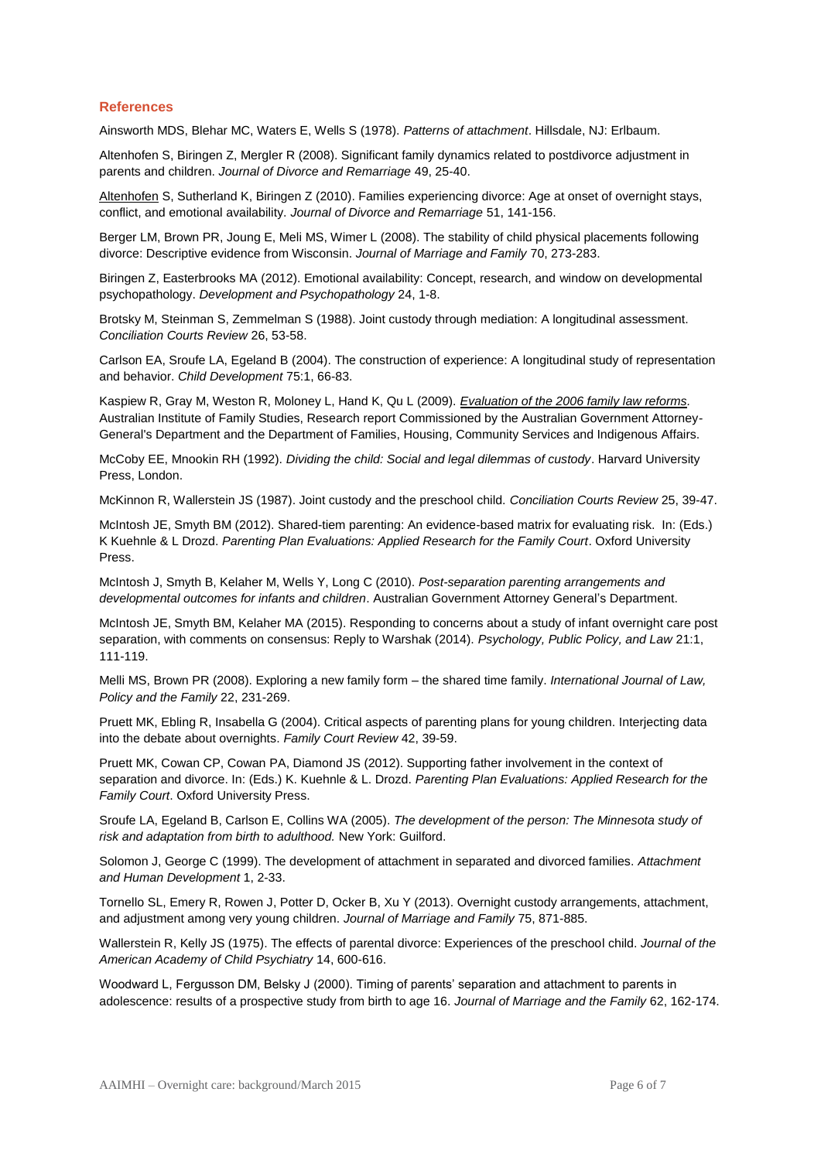#### **References**

Ainsworth MDS, Blehar MC, Waters E, Wells S (1978). *Patterns of attachment*. Hillsdale, NJ: Erlbaum.

Altenhofen S, Biringen Z, Mergler R (2008). Significant family dynamics related to postdivorce adjustment in parents and children. *Journal of Divorce and Remarriage* 49, 25-40.

[Altenhofen](http://www.apple.com/) S, Sutherland K, Biringen Z (2010). Families experiencing divorce: Age at onset of overnight stays, conflict, and emotional availability. *Journal of Divorce and Remarriage* 51, 141-156.

Berger LM, Brown PR, Joung E, Meli MS, Wimer L (2008). The stability of child physical placements following divorce: Descriptive evidence from Wisconsin. *Journal of Marriage and Family* 70, 273-283.

Biringen Z, Easterbrooks MA (2012). Emotional availability: Concept, research, and window on developmental psychopathology. *Development and Psychopathology* 24, 1-8.

Brotsky M, Steinman S, Zemmelman S (1988). Joint custody through mediation: A longitudinal assessment. *Conciliation Courts Review* 26, 53-58.

Carlson EA, Sroufe LA, Egeland B (2004). The construction of experience: A longitudinal study of representation and behavior. *Child Development* 75:1, 66-83.

Kaspiew R, Gray M, Weston R, Moloney L, Hand K, Qu L (2009). *[Evaluation of the 2006 family law reforms.](http://www.aifs.gov.au/institute/pubs/fle/index.html)* Australian Institute of Family Studies, Research report Commissioned by the Australian Government Attorney-General's Department and the Department of Families, Housing, Community Services and Indigenous Affairs.

McCoby EE, Mnookin RH (1992). *Dividing the child: Social and legal dilemmas of custody*. Harvard University Press, London.

McKinnon R, Wallerstein JS (1987). Joint custody and the preschool child. *Conciliation Courts Review* 25, 39-47.

McIntosh JE, Smyth BM (2012). Shared-tiem parenting: An evidence-based matrix for evaluating risk. In: (Eds.) K Kuehnle & L Drozd. *Parenting Plan Evaluations: Applied Research for the Family Court*. Oxford University Press.

McIntosh J, Smyth B, Kelaher M, Wells Y, Long C (2010). *Post-separation parenting arrangements and developmental outcomes for infants and children*. Australian Government Attorney General's Department.

McIntosh JE, Smyth BM, Kelaher MA (2015). Responding to concerns about a study of infant overnight care post separation, with comments on consensus: Reply to Warshak (2014). *Psychology, Public Policy, and Law* 21:1, 111-119.

Melli MS, Brown PR (2008). Exploring a new family form – the shared time family. *International Journal of Law, Policy and the Family* 22, 231-269.

Pruett MK, Ebling R, Insabella G (2004). Critical aspects of parenting plans for young children. Interjecting data into the debate about overnights. *Family Court Review* 42, 39-59.

Pruett MK, Cowan CP, Cowan PA, Diamond JS (2012). Supporting father involvement in the context of separation and divorce. In: (Eds.) K. Kuehnle & L. Drozd. *Parenting Plan Evaluations: Applied Research for the Family Court*. Oxford University Press.

Sroufe LA, Egeland B, Carlson E, Collins WA (2005). *The development of the person: The Minnesota study of risk and adaptation from birth to adulthood.* New York: Guilford.

Solomon J, George C (1999). The development of attachment in separated and divorced families. *Attachment and Human Development* 1, 2-33.

Tornello SL, Emery R, Rowen J, Potter D, Ocker B, Xu Y (2013). Overnight custody arrangements, attachment, and adjustment among very young children. *Journal of Marriage and Family* 75, 871-885.

Wallerstein R, Kelly JS (1975). The effects of parental divorce: Experiences of the preschool child. *Journal of the American Academy of Child Psychiatry* 14, 600-616.

Woodward L, Fergusson DM, Belsky J (2000). Timing of parents' separation and attachment to parents in adolescence: results of a prospective study from birth to age 16. *Journal of Marriage and the Family* 62, 162-174.